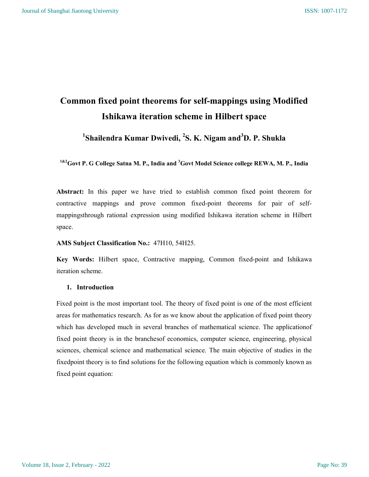# Common fixed point theorems for self-mappings using Modified Ishikawa iteration scheme in Hilbert space

<sup>1</sup>Shailendra Kumar Dwivedi, <sup>2</sup>S. K. Nigam and<sup>3</sup>D. P. Shukla

<sup>1&2</sup>Govt P. G College Satna M. P., India and <sup>3</sup>Govt Model Science college REWA, M. P., India

Abstract: In this paper we have tried to establish common fixed point theorem for contractive mappings and prove common fixed-point theorems for pair of selfmappingsthrough rational expression using modified Ishikawa iteration scheme in Hilbert space.

AMS Subject Classification No.: 47H10, 54H25.

Key Words: Hilbert space, Contractive mapping, Common fixed-point and Ishikawa iteration scheme.

### 1. Introduction

Fixed point is the most important tool. The theory of fixed point is one of the most efficient areas for mathematics research. As for as we know about the application of fixed point theory which has developed much in several branches of mathematical science. The applicationof fixed point theory is in the branchesof economics, computer science, engineering, physical sciences, chemical science and mathematical science. The main objective of studies in the fixedpoint theory is to find solutions for the following equation which is commonly known as fixed point equation: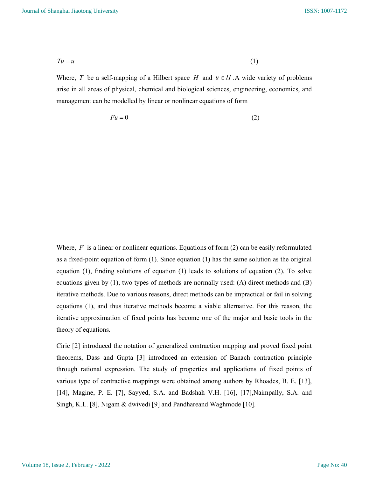$$
Tu = u \tag{1}
$$

Where, T be a self-mapping of a Hilbert space H and  $u \in H$  . A wide variety of problems arise in all areas of physical, chemical and biological sciences, engineering, economics, and management can be modelled by linear or nonlinear equations of form

$$
Fu = 0 \tag{2}
$$

Where,  $F$  is a linear or nonlinear equations. Equations of form (2) can be easily reformulated as a fixed-point equation of form (1). Since equation (1) has the same solution as the original equation (1), finding solutions of equation (1) leads to solutions of equation (2). To solve equations given by  $(1)$ , two types of methods are normally used:  $(A)$  direct methods and  $(B)$ iterative methods. Due to various reasons, direct methods can be impractical or fail in solving equations (1), and thus iterative methods become a viable alternative. For this reason, the iterative approximation of fixed points has become one of the major and basic tools in the theory of equations.

Ciric [2] introduced the notation of generalized contraction mapping and proved fixed point theorems, Dass and Gupta [3] introduced an extension of Banach contraction principle through rational expression. The study of properties and applications of fixed points of various type of contractive mappings were obtained among authors by Rhoades, B. E. [13], [14], Magine, P. E. [7], Sayyed, S.A. and Badshah V.H. [16], [17],Naimpally, S.A. and Singh, K.L. [8], Nigam & dwivedi [9] and Pandhareand Waghmode [10].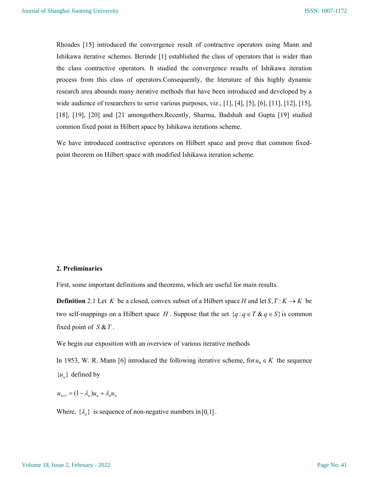Rhoades [15] introduced the convergence result of contractive operators using Mann and Ishikawa iterative schemes. Berinde [1] established the class of operators that is wider than the class contractive operators. It studied the convergence results of Ishikawa iteration process from this class of operators.Consequently, the literature of this highly dynamic research area abounds many iterative methods that have been introduced and developed by a wide audience of researchers to serve various purposes, viz., [1], [4], [5], [6], [11], [12], [15], [18], [19], [20] and [21 amongothers.Recently, Sharma, Badshah and Gupta [19] studied common fixed point in Hilbert space by Ishikawa iterations scheme.

We have introduced contractive operators on Hilbert space and prove that common fixedpoint theorem on Hilbert space with modified Ishikawa iteration scheme.

#### 2. Preliminaries

First, some important definitions and theorems, which are useful for main results.

**Definition** 2.1 Let K be a closed, convex subset of a Hilbert space H and let  $S, T: K \rightarrow K$  be two self-mappings on a Hilbert space H. Suppose that the set  $\{q : q \in T \& q \in S\}$  is common fixed point of  $S & T$ .

We begin our exposition with an overview of various iterative methods

In 1953, W. R. Mann [6] introduced the following iterative scheme, for  $u_0 \in K$  the sequence  ${u_{n}}$  defined by

 $u_{n+1} = (1 - \lambda_n)u_n + \lambda_n u_n$ 

Where,  $\{\lambda_n\}$  is sequence of non-negative numbers in [0,1].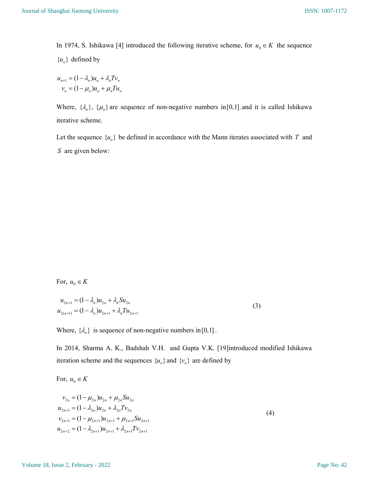In 1974, S. Ishikawa [4] introduced the following iterative scheme, for  $u_0 \in K$  the sequence  ${u_n}$  defined by

$$
u_{n+1} = (1 - \lambda_n)u_n + \lambda_n T v_n
$$
  

$$
v_n = (1 - \mu_n)u_n + \mu_n T u_n
$$

Where,  $\{\lambda_n\}$ ,  $\{\mu_n\}$  are sequence of non-negative numbers in[0,1] and it is called Ishikawa iterative scheme.

Let the sequence  $\{u_n\}$  be defined in accordance with the Mann iterates associated with T and S are given below:

For,  $u_0 \in K$ 

$$
u_{2n+1} = (1 - \lambda_n)u_{2n} + \lambda_n S u_{2n}
$$
  

$$
u_{2(n+1)} = (1 - \lambda_n)u_{2n+1} + \lambda_n T u_{2n+1}
$$
 (3)

Where,  $\{\lambda_n\}$  is sequence of non-negative numbers in [0,1].

In 2014, Sharma A. K., Badshah V.H. and Gupta V.K. [19]introduced modified Ishikawa iteration scheme and the sequences  $\{u_n\}$  and  $\{v_n\}$  are defined by

For,  $u_0 \in K$ 

$$
v_{2n} = (1 - \mu_{2n})u_{2n} + \mu_{2n}Su_{2n}
$$
  
\n
$$
u_{2n+1} = (1 - \lambda_{2n})u_{2n} + \lambda_{2n}Tv_{2n}
$$
  
\n
$$
v_{2n+1} = (1 - \mu_{2n+1})u_{2n+1} + \mu_{2n+1}Su_{2n+1}
$$
  
\n
$$
u_{2n+2} = (1 - \lambda_{2n+1})u_{2n+1} + \lambda_{2n+1}Tv_{2n+1}
$$
\n(4)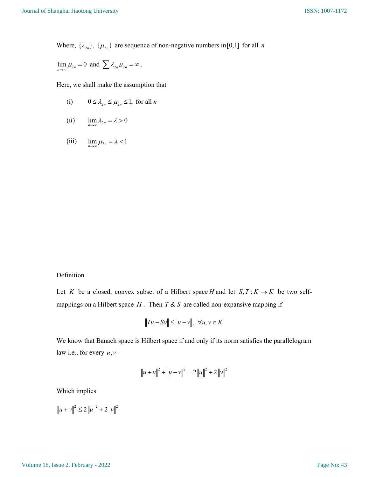Where,  $\{\lambda_{2n}\}\$ ,  $\{\mu_{2n}\}\$  are sequence of non-negative numbers in[0,1] for all *n* 

$$
\lim_{n\to\infty}\mu_{2n}=0\ \ \text{and}\ \ \sum\lambda_{2n}\mu_{2n}=\infty\,.
$$

Here, we shall make the assumption that

(i) 
$$
0 \le \lambda_{2n} \le \mu_{2n} \le 1
$$
, for all *n*

(ii) 
$$
\lim_{n\to\infty} \lambda_{2n} = \lambda > 0
$$

(iii)  $\lim_{n\to\infty}\mu_{2n} = \lambda < 1$ 

## Definition

Let K be a closed, convex subset of a Hilbert space H and let  $S, T: K \to K$  be two selfmappings on a Hilbert space  $H$ . Then  $T & S$  are called non-expansive mapping if

$$
||Tu - Sv|| \le ||u - v||, \ \forall u, v \in K
$$

We know that Banach space is Hilbert space if and only if its norm satisfies the parallelogram law i.e., for every  $u, v$ 

$$
||u + v||2 + ||u - v||2 = 2 ||u||2 + 2 ||v||2
$$

Which implies

 $|u + v||^2 \leq 2 ||u||^2 + 2 ||v||^2$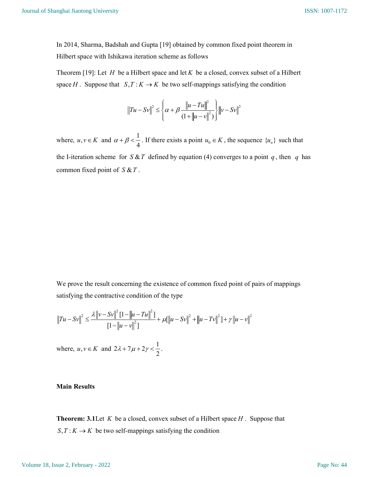In 2014, Sharma, Badshah and Gupta [19] obtained by common fixed point theorem in Hilbert space with Ishikawa iteration scheme as follows

Theorem [19]: Let H be a Hilbert space and let K be a closed, convex subset of a Hilbert space H . Suppose that  $S, T: K \to K$  be two self-mappings satisfying the condition

$$
||Tu - Sv||^{2} \leq \left\{\alpha + \beta \frac{||u - Tu||^{2}}{(1 + ||u - v||^{2})}\right\} ||v - Sv||^{2}
$$

where,  $u, v \in K$  and  $\alpha + \beta < \frac{1}{4}$  $\alpha + \beta < \frac{1}{4}$ . If there exists a point  $u_0 \in K$ , the sequence  $\{u_n\}$  such that the I-iteration scheme for  $S \& T$  defined by equation (4) converges to a point q, then q has common fixed point of  $S & T$ .

We prove the result concerning the existence of common fixed point of pairs of mappings satisfying the contractive condition of the type

$$
||Tu - Sv||^{2} \le \frac{\lambda ||v - Sv||^{2} [1 - ||u - Tu||^{2}]}{[1 - ||u - v||^{2}]} + \mu[||u - Sv||^{2} + ||u - Tv||^{2}] + \gamma ||u - v||^{2}
$$

where,  $u, v \in K$  and  $2\lambda + 7\mu + 2\gamma < \frac{1}{2}$ 2  $\lambda + 7\mu + 2\gamma < \frac{1}{2}$ .

## Main Results

**Theorem: 3.1** Let  $K$  be a closed, convex subset of a Hilbert space  $H$ . Suppose that  $S, T: K \to K$  be two self-mappings satisfying the condition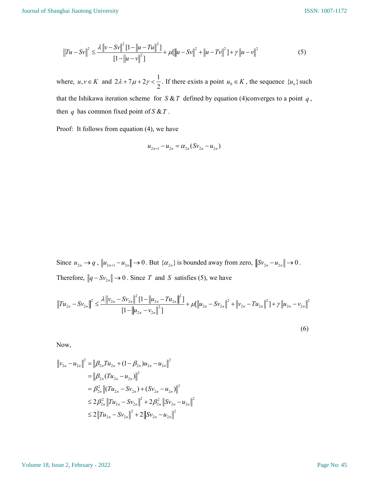$$
||Tu - Sv||^{2} \le \frac{\lambda ||v - Sv||^{2} [1 - ||u - Tu||^{2}]}{[1 - ||u - v||^{2}]} + \mu[||u - Sv||^{2} + ||u - Tv||^{2}] + \gamma ||u - v||^{2}
$$
(5)

where,  $u, v \in K$  and  $2\lambda + 7\mu + 2\gamma < \frac{1}{2}$  $\lambda + 7\mu + 2\gamma < \frac{1}{2}$ . If there exists a point  $u_0 \in K$ , the sequence  $\{u_n\}$  such that the Ishikawa iteration scheme for  $S & T$  defined by equation (4)converges to a point q, then q has common fixed point of  $S \& T$ .

Proof: It follows from equation (4), we have

$$
u_{2n+1} - u_{2n} = \alpha_{2n} (Sv_{2n} - u_{2n})
$$

Since  $u_{2n} \to q$ ,  $||u_{2n+1} - u_{2n}|| \to 0$ . But  $\{\alpha_{2n}\}\$ is bounded away from zero,  $||Sv_{2n} - u_{2n}|| \to 0$ . Therefore,  $||q - Sv_{2n}|| \rightarrow 0$ . Since T and S satisfies (5), we have

$$
||Tu_{2n} - Sv_{2n}||^{2} \le \frac{\lambda ||v_{2n} - Sv_{2n}||^{2} [1 - ||u_{2n} - Tu_{2n}||^{2}]}{[1 - ||u_{2n} - v_{2n}||^{2}]} + \mu[||u_{2n} - Sv_{2n}||^{2} + ||v_{2n} - Tu_{2n}||^{2}] + \gamma ||u_{2n} - v_{2n}||^{2}
$$

(6)

Now,

$$
\|v_{2n} - u_{2n}\|^2 = \|\beta_{2n}Tu_{2n} + (1 - \beta_{2n})u_{2n} - u_{2n}\|^2
$$
  
\n
$$
= \|\beta_{2n}(Tu_{2n} - u_{2n})\|^2
$$
  
\n
$$
= \beta_{2n}^2 \|(Tu_{2n} - Sv_{2n}) + (Sv_{2n} - u_{2n})\|^2
$$
  
\n
$$
\leq 2\beta_{2n}^2 \|Tu_{2n} - Sv_{2n}\|^2 + 2\beta_{2n}^2 \|Sv_{2n} - u_{2n}\|^2
$$
  
\n
$$
\leq 2 \|Tu_{2n} - Sv_{2n}\|^2 + 2 \|Sv_{2n} - u_{2n}\|^2
$$

#### Volume 18, Issue 2, February - 2022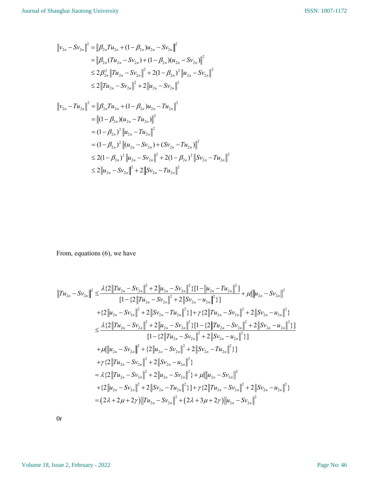$$
\|v_{2n} - Sv_{2n}\|^2 = \|\beta_{2n}Tu_{2n} + (1 - \beta_{2n})u_{2n} - Sv_{2n}\|^2
$$
  
\n
$$
= \|\beta_{2n}(Tu_{2n} - Sv_{2n}) + (1 - \beta_{2n})(u_{2n} - Sv_{2n})\|^2
$$
  
\n
$$
\leq 2\beta_{2n}^2 \|Tu_{2n} - Sv_{2n}\|^2 + 2(1 - \beta_{2n})^2 \|u_{2n} - Sv_{2n}\|^2
$$
  
\n
$$
\leq 2 \|Tu_{2n} - Sv_{2n}\|^2 + 2 \|u_{2n} - Sv_{2n}\|^2
$$

$$
v_{2n} - Tu_{2n} \|^{2} = \| \beta_{2n} Tu_{2n} + (1 - \beta_{2n}) u_{2n} - Tu_{2n} \|^{2}
$$
  
\n
$$
= \| (1 - \beta_{2n}) (u_{2n} - Tu_{2n}) \|^{2}
$$
  
\n
$$
= (1 - \beta_{2n})^{2} \| u_{2n} - Tu_{2n} \|^{2}
$$
  
\n
$$
= (1 - \beta_{2n})^{2} \| (u_{2n} - Sv_{2n}) + (Sv_{2n} - Tu_{2n}) \|^{2}
$$
  
\n
$$
\leq 2(1 - \beta_{2n})^{2} \| u_{2n} - Sv_{2n} \|^{2} + 2(1 - \beta_{2n})^{2} \| Sv_{2n} - Tu_{2n} \|^{2}
$$
  
\n
$$
\leq 2 \| u_{2n} - Sv_{2n} \|^{2} + 2 \| Sv_{2n} - Tu_{2n} \|^{2}
$$

From, equations (6), we have

From, equations (6), we have  
\n
$$
||Tu_{2n} - Sv_{2n}||^{2} \leq \frac{\lambda \{2||Tu_{2n} - Sv_{2n}||^{2} + 2||u_{2n} - Sv_{2n}||^{2}\}\{1 - ||u_{2n} - Tu_{2n}||^{2}\}}{[1 - \{2||Tu_{2n} - Sv_{2n}||^{2} + 2||Sv_{2n} - u_{2n}||^{2}\}]} + \mu[||u_{2n} - Sv_{2n}||^{2}
$$
\n
$$
+ \{2||u_{2n} - Sv_{2n}||^{2} + 2||Sv_{2n} - Tu_{2n}||^{2}\}\} + \gamma \{2||Tu_{2n} - Sv_{2n}||^{2} + 2||Sv_{2n} - u_{2n}||^{2}\}
$$
\n
$$
\leq \frac{\lambda \{2||Tu_{2n} - Sv_{2n}||^{2} + 2||u_{2n} - Sv_{2n}||^{2}\}\{1 - \{2||Tu_{2n} - Sv_{2n}||^{2} + 2||Sv_{2n} - u_{2n}||^{2}\}\}}{[1 - \{2||Tu_{2n} - Sv_{2n}||^{2} + 2||Sv_{2n} - u_{2n}||^{2}\}]}
$$
\n
$$
+ \mu[||u_{2n} - Sv_{2n}||^{2} + \{2||u_{2n} - Sv_{2n}||^{2} + 2||Sv_{2n} - u_{2n}||^{2}\}]
$$
\n
$$
+ \gamma \{2||Tu_{2n} - Sv_{2n}||^{2} + 2||Sv_{2n} - u_{2n}||^{2}\}
$$
\n
$$
+ \gamma \{2||Tu_{2n} - Sv_{2n}||^{2} + 2||Sv_{2n} - u_{2n}||^{2}\}
$$
\n
$$
= \lambda \{2||Tu_{2n} - Sv_{2n}||^{2} + 2||u_{2n} - Sv_{2n}||^{2}\} + \mu[||u_{2n} - Sv_{2n}||^{2}
$$
\n
$$
+ \{2||u_{2n} - Sv_{2n}||^{2} + 2||Sv_{2n} - Tu_{2n}||^{2}\} + \mu[||u_{2n} - Sv_{2n}||^{2}
$$
\n
$$
+ \{2||u_{2n} - Sv_{2n}||^{2} + 2||Sv_{2n} - Tu_{2n}||^{2
$$

0r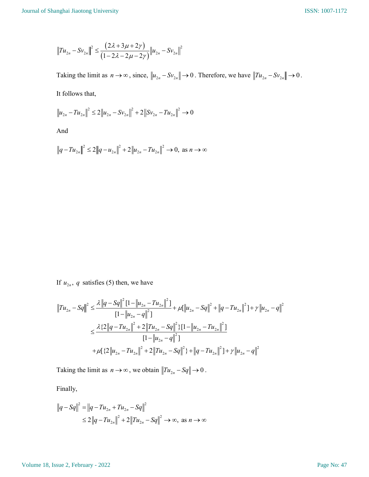$$
||Tu_{2n} - Sv_{2n}||^{2} \leq \frac{(2\lambda + 3\mu + 2\gamma)}{(1 - 2\lambda - 2\mu - 2\gamma)} ||u_{2n} - Sv_{2n}||^{2}
$$

iversity<br>  $(2\lambda + 3\mu + 2\gamma)$ <br>  $(1 - 2\lambda - 2\mu - 2\gamma) ||u_{2n} - Sv_{2n}||^2$ <br>
as  $n \to \infty$ , since,  $||u_{2n} - Sv_{2n}|| \to 0$ . Therefore, we have  $||Tu_{2n} - Sv_{2n}|| \to 0$ . Taking the limit as  $n \to \infty$ , since,  $||u_{2n} - Sv_{2n}|| \to 0$ . Therefore, we have  $||Tu_{2n} - Sv_{2n}|| \to 0$ . It follows that,

$$
\|u_{2n} - Tu_{2n}\|^2 \le 2\|u_{2n} - Sv_{2n}\|^2 + 2\|Sv_{2n} - Tu_{2n}\|^2 \to 0
$$

And

$$
||q - Tu_{2n}||^2 \le 2||q - u_{2n}||^2 + 2||u_{2n} - Tu_{2n}||^2 \to 0, \text{ as } n \to \infty
$$

If  $u_{2n}$ , q satisfies (5) then, we have

$$
||Tu_{2n} - Sq||^{2} \le \frac{\lambda ||q - Sq||^{2}[1 - ||u_{2n} - Tu_{2n}||^{2}]}{[1 - ||u_{2n} - q||^{2}]} + \mu[||u_{2n} - Sq||^{2} + ||q - Tu_{2n}||^{2}] + \gamma ||u_{2n} - q||^{2}
$$
  

$$
\le \frac{\lambda \{2||q - Tu_{2n}||^{2} + 2||Tu_{2n} - Sq||^{2}\}[1 - ||u_{2n} - Tu_{2n}||^{2}]}{[1 - ||u_{2n} - q||^{2}]}
$$
  

$$
+ \mu[\{2||u_{2n} - Tu_{2n}||^{2} + 2||Tu_{2n} - Sq||^{2}\} + ||q - Tu_{2n}||^{2}] + \gamma ||u_{2n} - q||^{2}
$$

Taking the limit as  $n \to \infty$ , we obtain  $||Tu_{2n} - Sq|| \to 0$ .

Finally,

$$
||q - Sq||^2 = ||q - Tu_{2n} + Tu_{2n} - Sq||^2
$$
  
\n
$$
\leq 2||q - Tu_{2n}||^2 + 2||Tu_{2n} - Sq||^2 \to \infty, \text{ as } n \to \infty
$$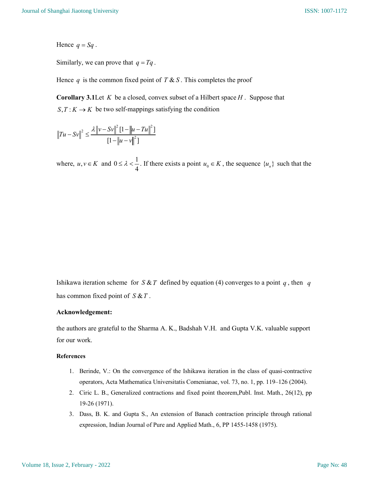Hence  $q = Sq$ .

Similarly, we can prove that  $q = Tq$ .

Hence q is the common fixed point of  $T \& S$ . This completes the proof

**Corollary 3.1** Let K be a closed, convex subset of a Hilbert space  $H$ . Suppose that  $S, T: K \to K$  be two self-mappings satisfying the condition

$$
||Tu - Sv||^{2} \le \frac{\lambda ||v - Sv||^{2} [1 - ||u - Tu||^{2}]}{[1 - ||u - v||^{2}]}
$$

where,  $u, v \in K$  and  $0 \le \lambda < \frac{1}{4}$  $\leq \lambda < \frac{1}{4}$ . If there exists a point  $u_0 \in K$ , the sequence  $\{u_n\}$  such that the

Ishikawa iteration scheme for  $S \& T$  defined by equation (4) converges to a point q, then q has common fixed point of  $S & T$ .

#### Acknowledgement:

the authors are grateful to the Sharma A. K., Badshah V.H. and Gupta V.K. valuable support for our work.

#### References

- 1. Berinde, V.: On the convergence of the Ishikawa iteration in the class of quasi-contractive operators, Acta Mathematica Universitatis Comenianae, vol. 73, no. 1, pp. 119–126 (2004).
- 2. Ciric L. B., Generalized contractions and fixed point theorem,Publ. Inst. Math., 26(12), pp 19-26 (1971).
- 3. Dass, B. K. and Gupta S., An extension of Banach contraction principle through rational expression, Indian Journal of Pure and Applied Math., 6, PP 1455-1458 (1975).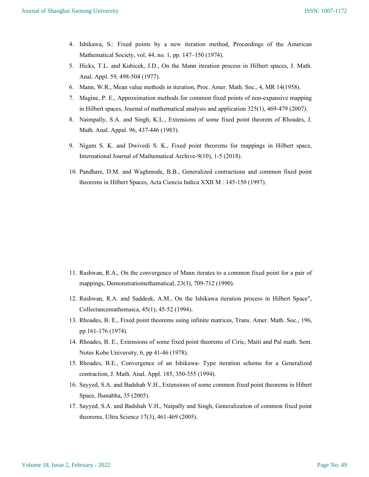- 4. Ishikawa, S.: Fixed points by a new iteration method, Proceedings of the American Mathematical Society, vol. 44, no. 1, pp. 147–150 (1974).
- 5. Hicks, T.L. and Kubicek, J.D., On the Mann iteration process in Hilbert spaces, J. Math. Anal. Appl. 59, 498-504 (1977).
- 6. Mann, W.R., Mean value methods in iteration, Proc. Amer. Math. Soc., 4, MR 14(1958).
- 7. Magine, P. E., Approximation methods for common fixed points of non-expansive mapping in Hilbert spaces, Journal of mathematical analysis and application 325(1), 469-479 (2007).
- 8. Naimpally, S.A. and Singh, K.L., Extensions of some fixed point theorem of Rhoades, J. Math. Anal. Appal. 96, 437-446 (1983).
- 9. Nigam S. K. and Dwivedi S. K., Fixed point theorems for mappings in Hilbert space, International Journal of Mathematical Archive-9(10), 1-5 (2018).
- 10. Pandhare, D.M. and Waghmode, B.B., Generalized contractions and common fixed point theorems in Hilbert Spaces, Acta Ciencia Indica XXII M : 145-150 (1997).

- 11. Rashwan, R.A., On the convergence of Mann iterates to a common fixed point for a pair of mappings, Demonstratiomethamatical, 23(3), 709-712 (1990).
- 12. Rashwan, R.A. and Saddeek, A.M., On the Ishikawa iteration process in Hilbert Space", Collectancemathemaica, 45(1), 45-52 (1994).
- 13. Rhoades, B. E., Fixed point theorems using infinite matrices, Trans. Amer. Math. Soc., 196, pp 161-176 (1974).
- 14. Rhoades, B. E., Extensions of some fixed point theorems of Ciric, Maiti and Pal math. Sem. Notes Kobe University, 6, pp 41-46 (1978).
- 15. Rhoades, B.E., Convergence of an Ishikawa- Type iteration scheme for a Generalized contraction, J. Math. Anal. Appl. 185, 350-355 (1994).
- 16. Sayyed, S.A. and Badshah V.H., Extensions of some common fixed point theorems in Hibert Space, Jhanabha, 35 (2005).
- 17. Sayyed, S.A. and Badshah V.H., Naipally and Singh, Generalization of common fixed point theorems, Ultra Science 17(3), 461-469 (2005).